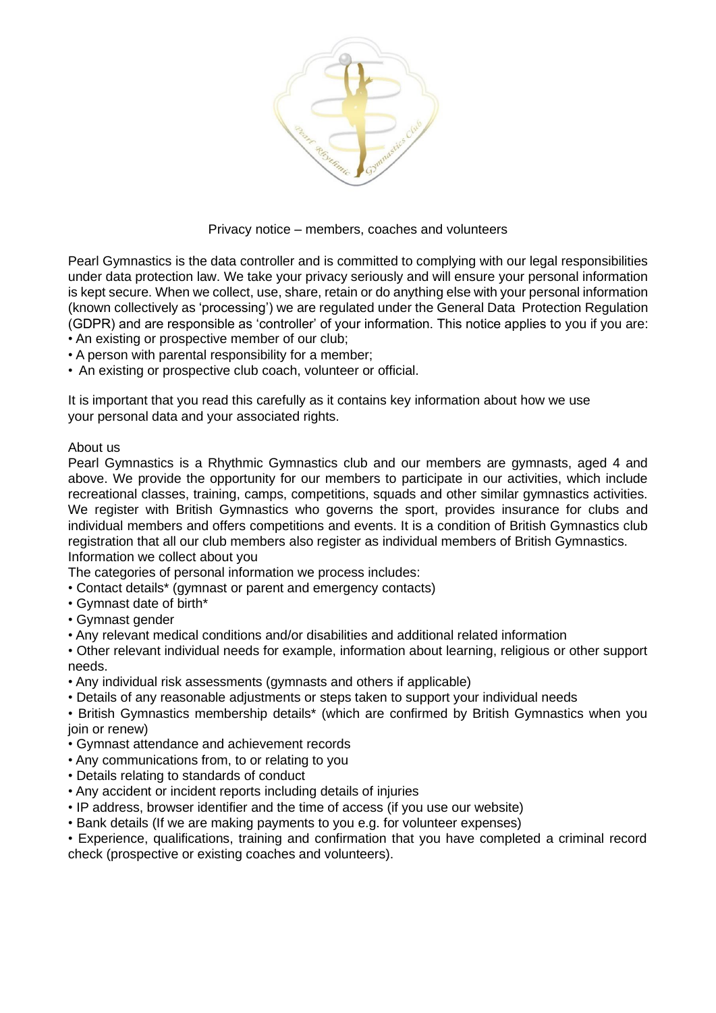

### Privacy notice – members, coaches and volunteers

Pearl Gymnastics is the data controller and is committed to complying with our legal responsibilities under data protection law. We take your privacy seriously and will ensure your personal information is kept secure. When we collect, use, share, retain or do anything else with your personal information (known collectively as 'processing') we are regulated under the General Data Protection Regulation (GDPR) and are responsible as 'controller' of your information. This notice applies to you if you are: • An existing or prospective member of our club;

- A person with parental responsibility for a member;
- An existing or prospective club coach, volunteer or official.

It is important that you read this carefully as it contains key information about how we use your personal data and your associated rights.

### About us

Pearl Gymnastics is a Rhythmic Gymnastics club and our members are gymnasts, aged 4 and above. We provide the opportunity for our members to participate in our activities, which include recreational classes, training, camps, competitions, squads and other similar gymnastics activities. We register with British Gymnastics who governs the sport, provides insurance for clubs and individual members and offers competitions and events. It is a condition of British Gymnastics club registration that all our club members also register as individual members of British Gymnastics. Information we collect about you

The categories of personal information we process includes:

- Contact details\* (gymnast or parent and emergency contacts)
- Gymnast date of birth\*
- Gymnast gender
- Any relevant medical conditions and/or disabilities and additional related information

• Other relevant individual needs for example, information about learning, religious or other support needs.

- Any individual risk assessments (gymnasts and others if applicable)
- Details of any reasonable adjustments or steps taken to support your individual needs

• British Gymnastics membership details\* (which are confirmed by British Gymnastics when you join or renew)

- Gymnast attendance and achievement records
- Any communications from, to or relating to you
- Details relating to standards of conduct
- Any accident or incident reports including details of injuries
- IP address, browser identifier and the time of access (if you use our website)
- Bank details (If we are making payments to you e.g. for volunteer expenses)

• Experience, qualifications, training and confirmation that you have completed a criminal record check (prospective or existing coaches and volunteers).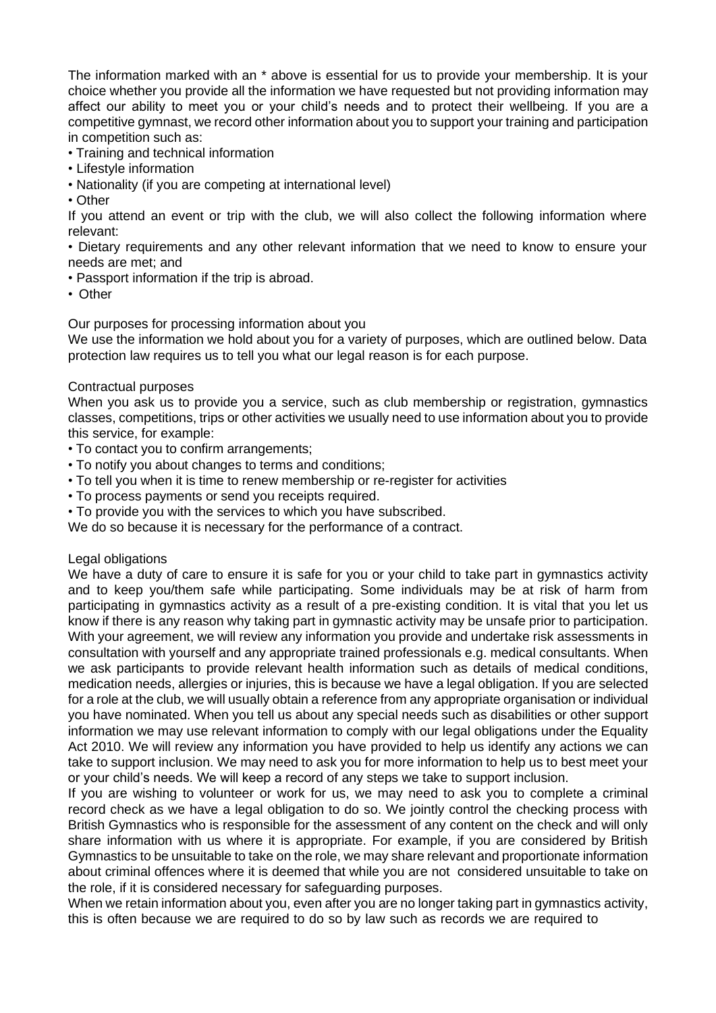The information marked with an \* above is essential for us to provide your membership. It is your choice whether you provide all the information we have requested but not providing information may affect our ability to meet you or your child's needs and to protect their wellbeing. If you are a competitive gymnast, we record other information about you to support your training and participation in competition such as:

- Training and technical information
- Lifestyle information
- Nationality (if you are competing at international level)
- Other

If you attend an event or trip with the club, we will also collect the following information where relevant:

• Dietary requirements and any other relevant information that we need to know to ensure your needs are met; and

- Passport information if the trip is abroad.
- Other

Our purposes for processing information about you

We use the information we hold about you for a variety of purposes, which are outlined below. Data protection law requires us to tell you what our legal reason is for each purpose.

### Contractual purposes

When you ask us to provide you a service, such as club membership or registration, gymnastics classes, competitions, trips or other activities we usually need to use information about you to provide this service, for example:

- To contact you to confirm arrangements;
- To notify you about changes to terms and conditions;
- To tell you when it is time to renew membership or re-register for activities
- To process payments or send you receipts required.
- To provide you with the services to which you have subscribed.

We do so because it is necessary for the performance of a contract.

### Legal obligations

We have a duty of care to ensure it is safe for you or your child to take part in gymnastics activity and to keep you/them safe while participating. Some individuals may be at risk of harm from participating in gymnastics activity as a result of a pre-existing condition. It is vital that you let us know if there is any reason why taking part in gymnastic activity may be unsafe prior to participation. With your agreement, we will review any information you provide and undertake risk assessments in consultation with yourself and any appropriate trained professionals e.g. medical consultants. When we ask participants to provide relevant health information such as details of medical conditions, medication needs, allergies or injuries, this is because we have a legal obligation. If you are selected for a role at the club, we will usually obtain a reference from any appropriate organisation or individual you have nominated. When you tell us about any special needs such as disabilities or other support information we may use relevant information to comply with our legal obligations under the Equality Act 2010. We will review any information you have provided to help us identify any actions we can take to support inclusion. We may need to ask you for more information to help us to best meet your or your child's needs. We will keep a record of any steps we take to support inclusion.

If you are wishing to volunteer or work for us, we may need to ask you to complete a criminal record check as we have a legal obligation to do so. We jointly control the checking process with British Gymnastics who is responsible for the assessment of any content on the check and will only share information with us where it is appropriate. For example, if you are considered by British Gymnastics to be unsuitable to take on the role, we may share relevant and proportionate information about criminal offences where it is deemed that while you are not considered unsuitable to take on the role, if it is considered necessary for safeguarding purposes.

When we retain information about you, even after you are no longer taking part in gymnastics activity, this is often because we are required to do so by law such as records we are required to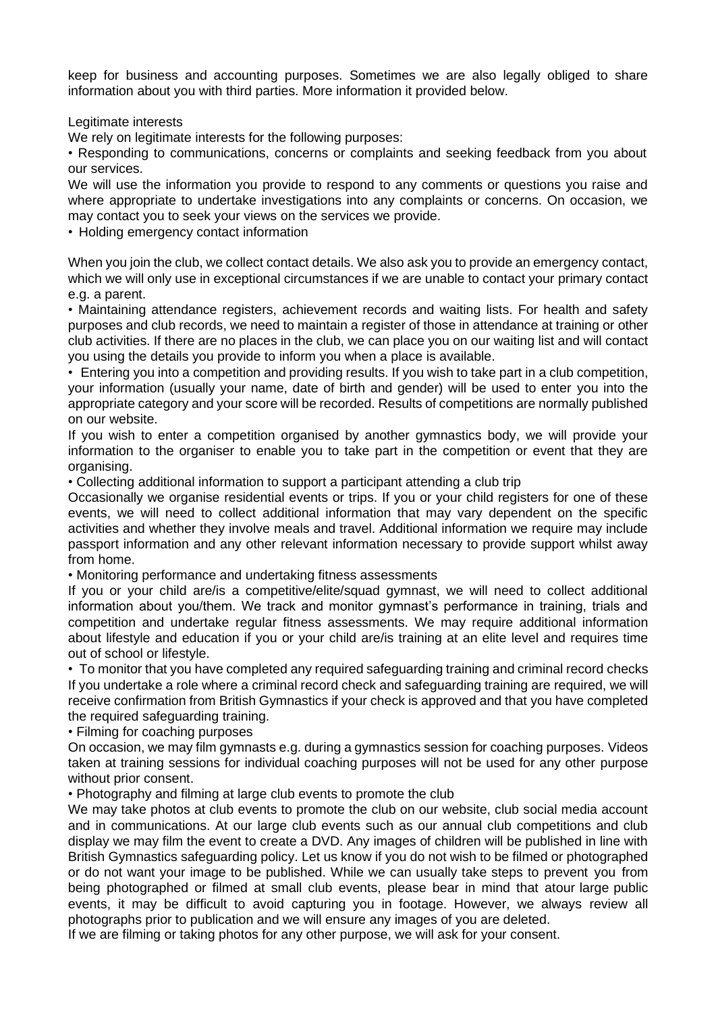keep for business and accounting purposes. Sometimes we are also legally obliged to share information about you with third parties. More information it provided below.

Legitimate interests

We rely on legitimate interests for the following purposes:

• Responding to communications, concerns or complaints and seeking feedback from you about our services.

We will use the information you provide to respond to any comments or questions you raise and where appropriate to undertake investigations into any complaints or concerns. On occasion, we may contact you to seek your views on the services we provide.

• Holding emergency contact information

When you join the club, we collect contact details. We also ask you to provide an emergency contact, which we will only use in exceptional circumstances if we are unable to contact your primary contact e.g. a parent.

• Maintaining attendance registers, achievement records and waiting lists. For health and safety purposes and club records, we need to maintain a register of those in attendance at training or other club activities. If there are no places in the club, we can place you on our waiting list and will contact you using the details you provide to inform you when a place is available.

• Entering you into a competition and providing results. If you wish to take part in a club competition, your information (usually your name, date of birth and gender) will be used to enter you into the appropriate category and your score will be recorded. Results of competitions are normally published on our website.

If you wish to enter a competition organised by another gymnastics body, we will provide your information to the organiser to enable you to take part in the competition or event that they are organising.

• Collecting additional information to support a participant attending a club trip

Occasionally we organise residential events or trips. If you or your child registers for one of these events, we will need to collect additional information that may vary dependent on the specific activities and whether they involve meals and travel. Additional information we require may include passport information and any other relevant information necessary to provide support whilst away from home.

• Monitoring performance and undertaking fitness assessments

If you or your child are/is a competitive/elite/squad gymnast, we will need to collect additional information about you/them. We track and monitor gymnast's performance in training, trials and competition and undertake regular fitness assessments. We may require additional information about lifestyle and education if you or your child are/is training at an elite level and requires time out of school or lifestyle.

• To monitor that you have completed any required safeguarding training and criminal record checks If you undertake a role where a criminal record check and safeguarding training are required, we will receive confirmation from British Gymnastics if your check is approved and that you have completed the required safeguarding training.

• Filming for coaching purposes

On occasion, we may film gymnasts e.g. during a gymnastics session for coaching purposes. Videos taken at training sessions for individual coaching purposes will not be used for any other purpose without prior consent.

• Photography and filming at large club events to promote the club

We may take photos at club events to promote the club on our website, club social media account and in communications. At our large club events such as our annual club competitions and club display we may film the event to create a DVD. Any images of children will be published in line with British Gymnastics safeguarding policy. Let us know if you do not wish to be filmed or photographed or do not want your image to be published. While we can usually take steps to prevent you from being photographed or filmed at small club events, please bear in mind that atour large public events, it may be difficult to avoid capturing you in footage. However, we always review all photographs prior to publication and we will ensure any images of you are deleted.

If we are filming or taking photos for any other purpose, we will ask for your consent.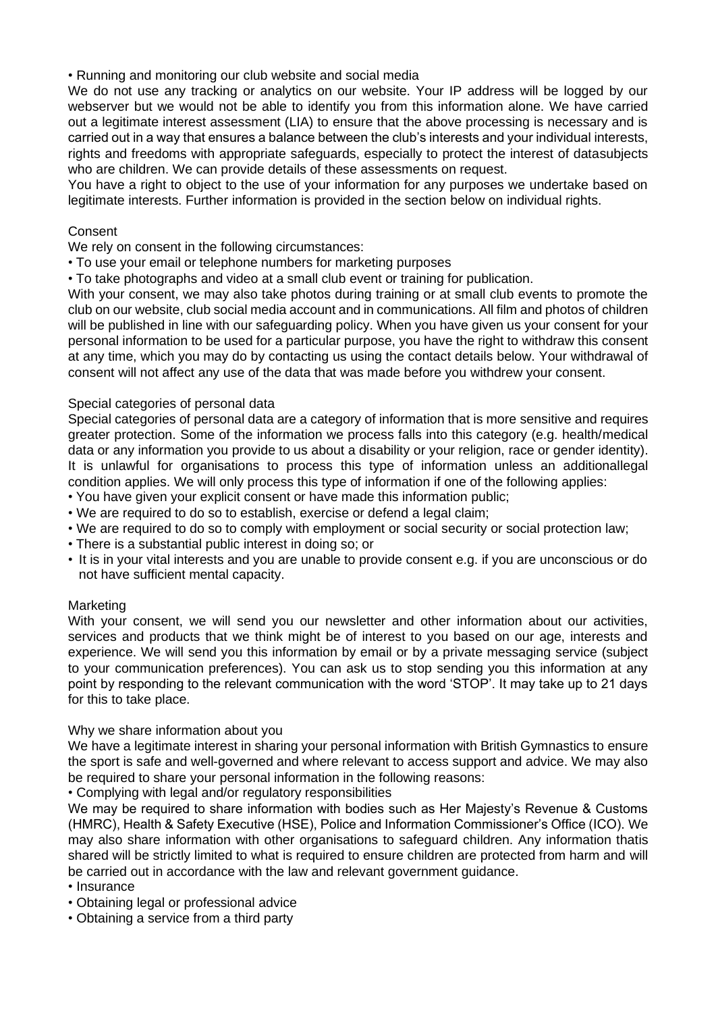• Running and monitoring our club website and social media

We do not use any tracking or analytics on our website. Your IP address will be logged by our webserver but we would not be able to identify you from this information alone. We have carried out a legitimate interest assessment (LIA) to ensure that the above processing is necessary and is carried out in a way that ensures a balance between the club's interests and your individual interests, rights and freedoms with appropriate safeguards, especially to protect the interest of datasubjects who are children. We can provide details of these assessments on request.

You have a right to object to the use of your information for any purposes we undertake based on legitimate interests. Further information is provided in the section below on individual rights.

# Consent

We rely on consent in the following circumstances:

- To use your email or telephone numbers for marketing purposes
- To take photographs and video at a small club event or training for publication.

With your consent, we may also take photos during training or at small club events to promote the club on our website, club social media account and in communications. All film and photos of children will be published in line with our safeguarding policy. When you have given us your consent for your personal information to be used for a particular purpose, you have the right to withdraw this consent at any time, which you may do by contacting us using the contact details below. Your withdrawal of consent will not affect any use of the data that was made before you withdrew your consent.

# Special categories of personal data

Special categories of personal data are a category of information that is more sensitive and requires greater protection. Some of the information we process falls into this category (e.g. health/medical data or any information you provide to us about a disability or your religion, race or gender identity). It is unlawful for organisations to process this type of information unless an additionallegal condition applies. We will only process this type of information if one of the following applies:

- You have given your explicit consent or have made this information public;
- We are required to do so to establish, exercise or defend a legal claim;
- We are required to do so to comply with employment or social security or social protection law;
- There is a substantial public interest in doing so; or
- It is in your vital interests and you are unable to provide consent e.g. if you are unconscious or do not have sufficient mental capacity.

### Marketing

With your consent, we will send you our newsletter and other information about our activities, services and products that we think might be of interest to you based on our age, interests and experience. We will send you this information by email or by a private messaging service (subject to your communication preferences). You can ask us to stop sending you this information at any point by responding to the relevant communication with the word 'STOP'. It may take up to 21 days for this to take place.

### Why we share information about you

We have a legitimate interest in sharing your personal information with British Gymnastics to ensure the sport is safe and well-governed and where relevant to access support and advice. We may also be required to share your personal information in the following reasons:

• Complying with legal and/or regulatory responsibilities

We may be required to share information with bodies such as Her Majesty's Revenue & Customs (HMRC), Health & Safety Executive (HSE), Police and Information Commissioner's Office (ICO). We may also share information with other organisations to safeguard children. Any information thatis shared will be strictly limited to what is required to ensure children are protected from harm and will be carried out in accordance with the law and relevant government guidance.

- Insurance
- Obtaining legal or professional advice
- Obtaining a service from a third party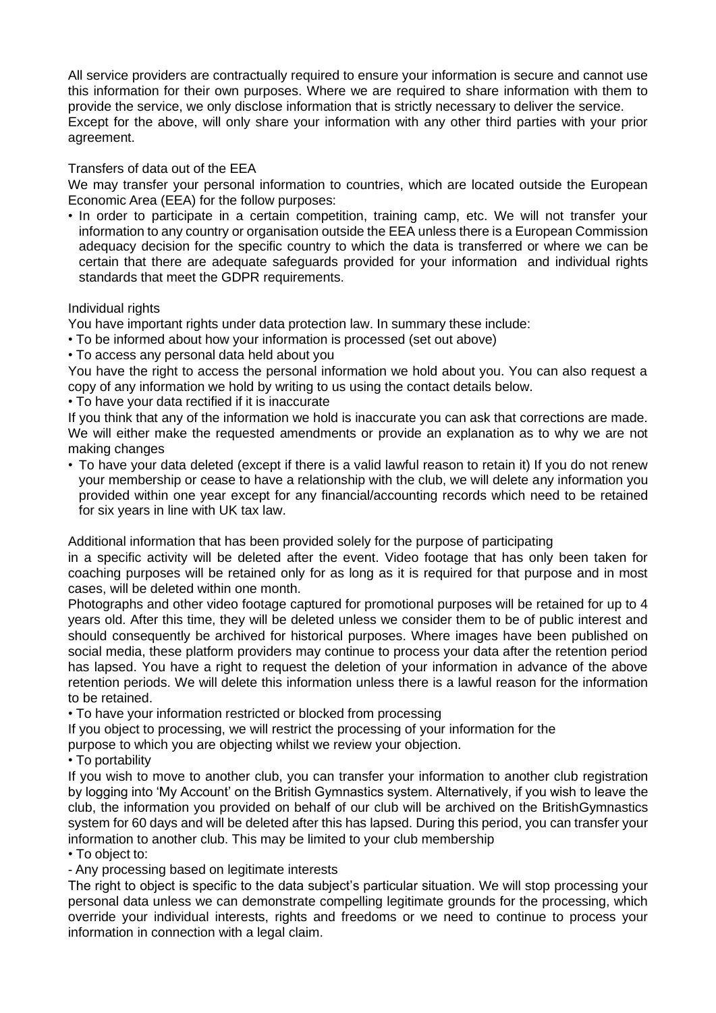All service providers are contractually required to ensure your information is secure and cannot use this information for their own purposes. Where we are required to share information with them to provide the service, we only disclose information that is strictly necessary to deliver the service. Except for the above, will only share your information with any other third parties with your prior agreement.

### Transfers of data out of the EEA

We may transfer your personal information to countries, which are located outside the European Economic Area (EEA) for the follow purposes:

• In order to participate in a certain competition, training camp, etc. We will not transfer your information to any country or organisation outside the EEA unless there is a European Commission adequacy decision for the specific country to which the data is transferred or where we can be certain that there are adequate safeguards provided for your information and individual rights standards that meet the GDPR requirements.

### Individual rights

You have important rights under data protection law. In summary these include:

• To be informed about how your information is processed (set out above)

• To access any personal data held about you

You have the right to access the personal information we hold about you. You can also request a copy of any information we hold by writing to us using the contact details below.

• To have your data rectified if it is inaccurate

If you think that any of the information we hold is inaccurate you can ask that corrections are made. We will either make the requested amendments or provide an explanation as to why we are not making changes

• To have your data deleted (except if there is a valid lawful reason to retain it) If you do not renew your membership or cease to have a relationship with the club, we will delete any information you provided within one year except for any financial/accounting records which need to be retained for six years in line with UK tax law.

Additional information that has been provided solely for the purpose of participating

in a specific activity will be deleted after the event. Video footage that has only been taken for coaching purposes will be retained only for as long as it is required for that purpose and in most cases, will be deleted within one month.

Photographs and other video footage captured for promotional purposes will be retained for up to 4 years old. After this time, they will be deleted unless we consider them to be of public interest and should consequently be archived for historical purposes. Where images have been published on social media, these platform providers may continue to process your data after the retention period has lapsed. You have a right to request the deletion of your information in advance of the above retention periods. We will delete this information unless there is a lawful reason for the information to be retained.

• To have your information restricted or blocked from processing

If you object to processing, we will restrict the processing of your information for the

purpose to which you are objecting whilst we review your objection.

• To portability

If you wish to move to another club, you can transfer your information to another club registration by logging into 'My Account' on the British Gymnastics system. Alternatively, if you wish to leave the club, the information you provided on behalf of our club will be archived on the BritishGymnastics system for 60 days and will be deleted after this has lapsed. During this period, you can transfer your information to another club. This may be limited to your club membership

• To object to:

- Any processing based on legitimate interests

The right to object is specific to the data subject's particular situation. We will stop processing your personal data unless we can demonstrate compelling legitimate grounds for the processing, which override your individual interests, rights and freedoms or we need to continue to process your information in connection with a legal claim.